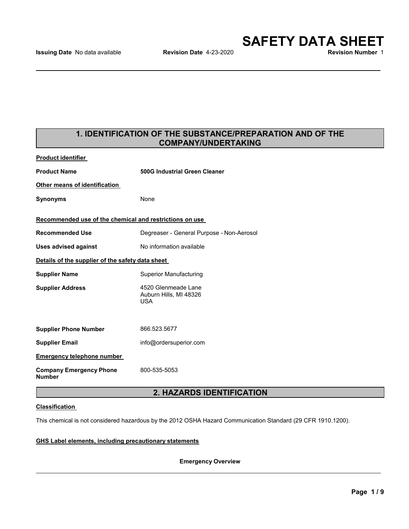## **1. IDENTIFICATION OF THE SUBSTANCE/PREPARATION AND OF THE COMPANY/UNDERTAKING**

| <b>Product identifier</b>                               |                                                             |  |  |
|---------------------------------------------------------|-------------------------------------------------------------|--|--|
| <b>Product Name</b>                                     | <b>500G Industrial Green Cleaner</b>                        |  |  |
| Other means of identification                           |                                                             |  |  |
| Synonyms                                                | None                                                        |  |  |
| Recommended use of the chemical and restrictions on use |                                                             |  |  |
| <b>Recommended Use</b>                                  | Degreaser - General Purpose - Non-Aerosol                   |  |  |
| <b>Uses advised against</b>                             | No information available                                    |  |  |
| Details of the supplier of the safety data sheet        |                                                             |  |  |
| <b>Supplier Name</b>                                    | <b>Superior Manufacturing</b>                               |  |  |
| <b>Supplier Address</b>                                 | 4520 Glenmeade Lane<br>Auburn Hills, MI 48326<br><b>USA</b> |  |  |
|                                                         |                                                             |  |  |
| <b>Supplier Phone Number</b>                            | 866.523.5677                                                |  |  |
| <b>Supplier Email</b>                                   | info@ordersuperior.com                                      |  |  |
| <b>Emergency telephone number</b>                       |                                                             |  |  |
| <b>Company Emergency Phone</b><br>Number                | 800-535-5053                                                |  |  |
|                                                         |                                                             |  |  |

## **2. HAZARDS IDENTIFICATION**

## **Classification**

This chemical is not considered hazardous by the 2012 OSHA Hazard Communication Standard (29 CFR 1910.1200).

**GHS Label elements, including precautionary statements**

**Emergency Overview**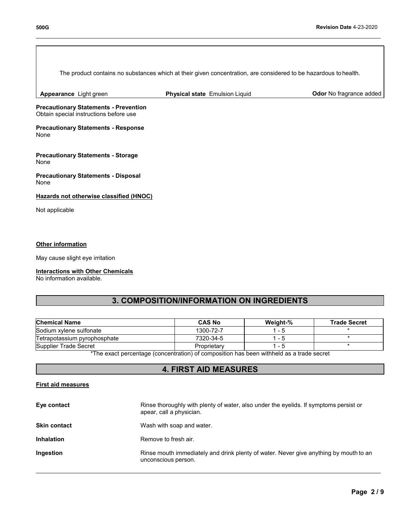| The product contains no substances which at their given concentration, are considered to be hazardous to health. |                                |                         |
|------------------------------------------------------------------------------------------------------------------|--------------------------------|-------------------------|
| Appearance Light green                                                                                           | Physical state Emulsion Liquid | Odor No fragrance added |
| <b>Precautionary Statements - Prevention</b><br>Obtain special instructions before use                           |                                |                         |
| <b>Precautionary Statements - Response</b><br>None                                                               |                                |                         |
| <b>Precautionary Statements - Storage</b><br>None                                                                |                                |                         |
| <b>Precautionary Statements - Disposal</b><br>None                                                               |                                |                         |
| Hazards not otherwise classified (HNOC)                                                                          |                                |                         |
| Not applicable                                                                                                   |                                |                         |
|                                                                                                                  |                                |                         |
| Other information                                                                                                |                                |                         |
| May cause slight eye irritation                                                                                  |                                |                         |

## **Interactions with Other Chemicals**

No information available.

# **3. COMPOSITION/INFORMATION ON INGREDIENTS**

| <b>Chemical Name</b>         | <b>CAS No</b> | Weight-% | <b>Trade Secret</b> |
|------------------------------|---------------|----------|---------------------|
| Sodium xylene sulfonate      | 1300-72-7     | - 5      |                     |
| Tetrapotassium pyrophosphate | 7320-34-5     | l - 5    |                     |
| Supplier Trade Secret        | Proprietary   | ' - 5    |                     |

\*The exact percentage (concentration) of composition has been withheld as a trade secret

## **4. FIRST AID MEASURES**

### **First aid measures**

| Eye contact         | Rinse thoroughly with plenty of water, also under the eyelids. If symptoms persist or<br>apear, call a physician. |
|---------------------|-------------------------------------------------------------------------------------------------------------------|
| <b>Skin contact</b> | Wash with soap and water.                                                                                         |
| <b>Inhalation</b>   | Remove to fresh air.                                                                                              |
| Ingestion           | Rinse mouth immediately and drink plenty of water. Never give anything by mouth to an<br>unconscious person.      |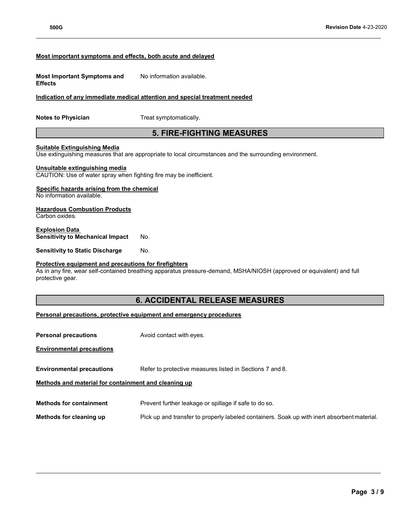### **Most important symptoms and effects, both acute and delayed**

| <b>Most Important Symptoms and</b> | No information available. |
|------------------------------------|---------------------------|
| <b>Effects</b>                     |                           |

### **Indication of any immediate medical attention and special treatment needed**

**Notes to Physician** Treat symptomatically.

## **5. FIRE-FIGHTING MEASURES**

#### **Suitable Extinguishing Media**

Use extinguishing measures that are appropriate to local circumstances and the surrounding environment.

#### **Unsuitable extinguishing media**

CAUTION: Use of water spray when fighting fire may be inefficient.

### **Specific hazards arising from the chemical**

No information available.

## **Hazardous Combustion Products**

Carbon oxides.

**Explosion Data Sensitivity to Mechanical Impact** No.

**Sensitivity to Static Discharge** No.

### **Protective equipment and precautions for firefighters**

As in any fire, wear self-contained breathing apparatus pressure-demand, MSHA/NIOSH (approved or equivalent) and full protective gear.

## **6. ACCIDENTAL RELEASE MEASURES**

### **Personal precautions, protective equipment and emergency procedures**

**Personal precautions** Avoid contact with eyes. **Environmental precautions Environmental precautions** Refer to protective measures listed in Sections 7 and 8. **Methods and material for containment and cleaning up Methods for containment** Prevent further leakage or spillage if safe to do so. **Methods for cleaning up** Pick up and transfer to properly labeled containers. Soak up with inert absorbent material.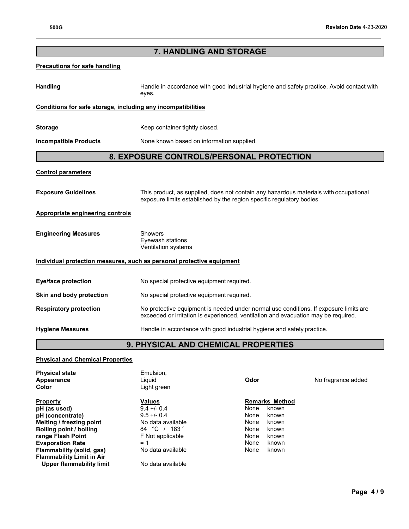# **7. HANDLING AND STORAGE**

## **Precautions for safe handling**

Handling **Handle in accordance with good industrial hygiene and safety practice. Avoid contact with and the same thandle in accordance with good industrial hygiene and safety practice. Avoid contact with** eyes.

## **Conditions for safe storage, including any incompatibilities**

**Storage** Keep container tightly closed.

**Incompatible Products** None known based on information supplied.

## **8. EXPOSURE CONTROLS/PERSONAL PROTECTION**

#### **Control parameters**

**Exposure Guidelines** This product, as supplied, does not contain any hazardous materials with occupational exposure limits established by the region specific regulatory bodies

### **Appropriate engineering controls**

| <b>Engineering Measures</b> | Showers             |
|-----------------------------|---------------------|
|                             | Eyewash stations    |
|                             | Ventilation systems |

### **Individual protection measures, such as personal protective equipment**

| Eye/face protection           | No special protective equipment required.                                                                                                                                   |
|-------------------------------|-----------------------------------------------------------------------------------------------------------------------------------------------------------------------------|
| Skin and body protection      | No special protective equipment required.                                                                                                                                   |
| <b>Respiratory protection</b> | No protective equipment is needed under normal use conditions. If exposure limits are<br>exceeded or irritation is experienced, ventilation and evacuation may be required. |
| <b>Hygiene Measures</b>       | Handle in accordance with good industrial hygiene and safety practice.                                                                                                      |

## **9. PHYSICAL AND CHEMICAL PROPERTIES**

### **Physical and Chemical Properties**

| <b>Physical state</b><br>Appearance<br>Color | Emulsion,<br>Liguid<br>Light green | Odor                  | No fragrance added |
|----------------------------------------------|------------------------------------|-----------------------|--------------------|
| <b>Property</b>                              | Values                             | <b>Remarks Method</b> |                    |
| pH (as used)                                 | $9.4 + - 0.4$                      | None<br>known         |                    |
| pH (concentrate)                             | $9.5 + -0.4$                       | None<br>known         |                    |
| Melting / freezing point                     | No data available                  | None<br>known         |                    |
| Boiling point / boiling                      | 84 °C / 183 °                      | None<br>known         |                    |
| range Flash Point                            | F Not applicable                   | None<br>known         |                    |
| <b>Evaporation Rate</b>                      | $= 1$                              | None<br>known         |                    |
| Flammability (solid, gas)                    | No data available                  | None<br>known         |                    |
| <b>Flammability Limit in Air</b>             |                                    |                       |                    |
| Upper flammability limit                     | No data available                  |                       |                    |
|                                              |                                    |                       |                    |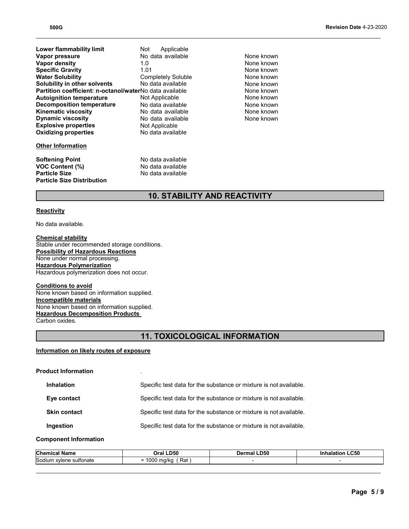| <b>Lower flammability limit</b>                         | Applicable<br>Not         |  |  |
|---------------------------------------------------------|---------------------------|--|--|
| Vapor pressure                                          | No data available         |  |  |
| Vapor density                                           | 1.0                       |  |  |
| <b>Specific Gravity</b>                                 | 1.01                      |  |  |
| <b>Water Solubility</b>                                 | <b>Completely Soluble</b> |  |  |
| Solubility in other solvents                            | No data available         |  |  |
| Partition coefficient: n-octanol/waterNo data available |                           |  |  |
| <b>Autoignition temperature</b>                         | Not Applicable            |  |  |
| <b>Decomposition temperature</b>                        | No data available         |  |  |
| <b>Kinematic viscosity</b>                              | No data available         |  |  |
| <b>Dynamic viscosity</b>                                | No data available         |  |  |
| <b>Explosive properties</b>                             | Not Applicable            |  |  |
| <b>Oxidizing properties</b>                             | No data available         |  |  |
| <b>Other Information</b>                                |                           |  |  |
| <b>Softening Point</b>                                  | No data available         |  |  |
| <b>VOC Content (%)</b>                                  | No data available         |  |  |
| <b>Particle Size</b><br>No data available               |                           |  |  |
| <b>Particle Size Distribution</b>                       |                           |  |  |

### None known None known **None known None known** None known None known **None known** None known None known None known

# **10. STABILITY AND REACTIVITY**

### **Reactivity**

No data available.

**Chemical stability** Stable under recommended storage conditions. **Possibility of Hazardous Reactions** None under normal processing. **Hazardous Polymerization** Hazardous polymerization does not occur.

# **Conditions to avoid**

None known based on information supplied. **Incompatible materials** None known based on information supplied. **Hazardous Decomposition Products**  Carbon oxides.

# **11. TOXICOLOGICAL INFORMATION**

#### **Information on likely routes of exposure**

| <b>Product Information</b> |                     | $\blacksquare$                                                    |
|----------------------------|---------------------|-------------------------------------------------------------------|
|                            | <b>Inhalation</b>   | Specific test data for the substance or mixture is not available. |
|                            | Eye contact         | Specific test data for the substance or mixture is not available. |
|                            | <b>Skin contact</b> | Specific test data for the substance or mixture is not available. |
|                            | Ingestion           | Specific test data for the substance or mixture is not available. |
|                            |                     |                                                                   |

#### **Component Information**

| Chemic                                       | .D50                                  | D50.        | .C50   |
|----------------------------------------------|---------------------------------------|-------------|--------|
| Name                                         | ٦ra                                   | <b>Jorn</b> | аганол |
| Sodiu<br>sultonate<br>vlene?<br>$\sim$<br>ım | Rat<br>، د ۱۱<br>ּ יוטט.<br>אווען ווי |             |        |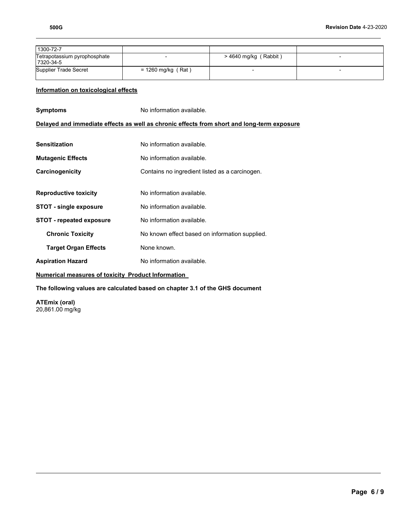| 1300-72-7                                 |                      |                         |  |
|-------------------------------------------|----------------------|-------------------------|--|
| Tetrapotassium pyrophosphate<br>7320-34-5 |                      | $>$ 4640 mg/kg (Rabbit) |  |
| Supplier Trade Secret                     | $= 1260$ mg/kg (Rat) |                         |  |

## **Information on toxicological effects**

| Symptoms                                                  | No information available.                                                                  |  |  |  |
|-----------------------------------------------------------|--------------------------------------------------------------------------------------------|--|--|--|
|                                                           | Delayed and immediate effects as well as chronic effects from short and long-term exposure |  |  |  |
|                                                           |                                                                                            |  |  |  |
| Sensitization                                             | No information available.                                                                  |  |  |  |
| <b>Mutagenic Effects</b>                                  | No information available.                                                                  |  |  |  |
| Carcinogenicity                                           | Contains no ingredient listed as a carcinogen.                                             |  |  |  |
|                                                           |                                                                                            |  |  |  |
| <b>Reproductive toxicity</b>                              | No information available.                                                                  |  |  |  |
| <b>STOT - single exposure</b>                             | No information available.                                                                  |  |  |  |
| <b>STOT - repeated exposure</b>                           | No information available.                                                                  |  |  |  |
| <b>Chronic Toxicity</b>                                   | No known effect based on information supplied.                                             |  |  |  |
| <b>Target Organ Effects</b>                               | None known.                                                                                |  |  |  |
| <b>Aspiration Hazard</b>                                  | No information available.                                                                  |  |  |  |
| <b>Numerical measures of toxicity Product Information</b> |                                                                                            |  |  |  |
|                                                           |                                                                                            |  |  |  |

**The following values are calculated based on chapter 3.1 of the GHS document**

**ATEmix (oral)** 20,861.00 mg/kg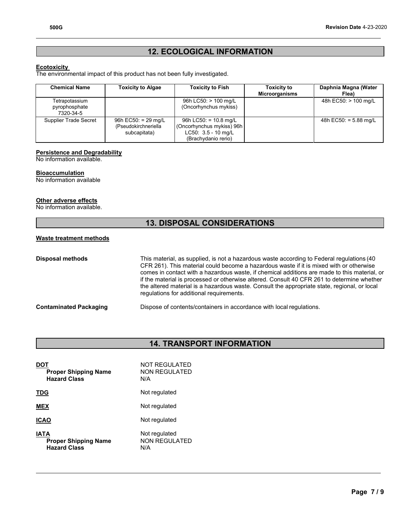# **12. ECOLOGICAL INFORMATION**

### **Ecotoxicity**

The environmental impact of this product has not been fully investigated.

| <b>Chemical Name</b>                         | <b>Toxicity to Algae</b>                                      | <b>Toxicity to Fish</b>                                                                                      | <b>Toxicity to</b><br><b>Microorganisms</b> | Daphnia Magna (Water<br>Flea) |
|----------------------------------------------|---------------------------------------------------------------|--------------------------------------------------------------------------------------------------------------|---------------------------------------------|-------------------------------|
| Tetrapotassium<br>pyrophosphate<br>7320-34-5 |                                                               | 96h LC50: > 100 mg/L<br>(Oncorhynchus mykiss)                                                                |                                             | 48h EC50: > 100 mg/L          |
| Supplier Trade Secret                        | $96h$ EC50: = 29 mg/L<br>(Pseudokirchneriella<br>subcapitata) | 96h LC50: = $10.8 \text{ mg/L}$<br>(Oncorhynchus mykiss) 96h<br>$LC50: 3.5 - 10$ mg/L<br>(Brachydanio rerio) |                                             | 48h $EC50: = 5.88$ mg/L       |

### **Persistence and Degradability**

No information available.

## **Bioaccumulation**

No information available

### **Other adverse effects**

No information available.

# **13. DISPOSAL CONSIDERATIONS**

## **Waste treatment methods**

| <b>Disposal methods</b>       | This material, as supplied, is not a hazardous waste according to Federal regulations (40<br>CFR 261). This material could become a hazardous waste if it is mixed with or otherwise<br>comes in contact with a hazardous waste, if chemical additions are made to this material, or<br>if the material is processed or otherwise altered. Consult 40 CFR 261 to determine whether<br>the altered material is a hazardous waste. Consult the appropriate state, regional, or local<br>regulations for additional requirements. |
|-------------------------------|--------------------------------------------------------------------------------------------------------------------------------------------------------------------------------------------------------------------------------------------------------------------------------------------------------------------------------------------------------------------------------------------------------------------------------------------------------------------------------------------------------------------------------|
| <b>Contaminated Packaging</b> | Dispose of contents/containers in accordance with local regulations.                                                                                                                                                                                                                                                                                                                                                                                                                                                           |

# **14. TRANSPORT INFORMATION**

| <b>Proper Shipping Name</b><br><b>Hazard Class</b>         | NOT REGULATED<br><b>NON REGULATED</b><br>N/A |
|------------------------------------------------------------|----------------------------------------------|
| TDG                                                        | Not regulated                                |
| <b>MEX</b>                                                 | Not regulated                                |
| ICAO                                                       | Not regulated                                |
| IATA<br><b>Proper Shipping Name</b><br><b>Hazard Class</b> | Not regulated<br><b>NON REGULATED</b><br>N/A |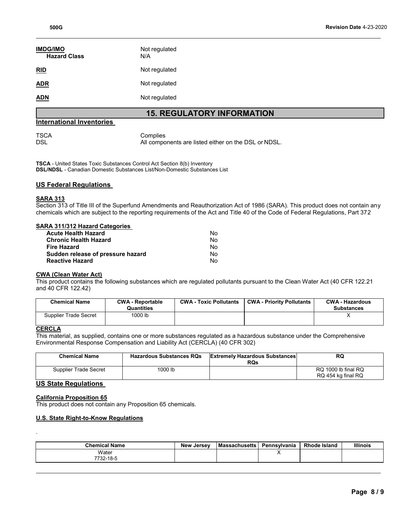| <b>IMDG/IMO</b><br><b>Hazard Class</b> | Not regulated<br>N/A |
|----------------------------------------|----------------------|
| <b>RID</b>                             | Not regulated        |
| ADR                                    | Not regulated        |
| ADN                                    | Not regulated        |

# **15. REGULATORY INFORMATION**

### **International Inventories**

TSCA Complies<br>DSL Management Complies All components are listed either on the DSL or NDSL.

**TSCA** - United States Toxic Substances Control Act Section 8(b) Inventory **DSL/NDSL** - Canadian Domestic Substances List/Non-Domestic Substances List

### **US Federal Regulations**

### **SARA 313**

Section 313 of Title III of the Superfund Amendments and Reauthorization Act of 1986 (SARA). This product does not contain any chemicals which are subject to the reporting requirements of the Act and Title 40 of the Code of Federal Regulations, Part 372

### **SARA 311/312 Hazard Categories**

| Acute Health Hazard               | N٥ |
|-----------------------------------|----|
| Chronic Health Hazard             | N٥ |
| Fire Hazard                       | N٥ |
| Sudden release of pressure hazard | N٥ |
| Reactive Hazard                   | N٥ |

### **CWA (Clean Water Act)**

This product contains the following substances which are regulated pollutants pursuant to the Clean Water Act (40 CFR 122.21 and 40 CFR 122.42)

| <b>Chemical Name</b>  | <b>CWA - Reportable</b><br>Quantities | <b>CWA - Toxic Pollutants</b> | <b>CWA - Priority Pollutants</b> | <b>CWA - Hazardous</b><br><b>Substances</b> |
|-----------------------|---------------------------------------|-------------------------------|----------------------------------|---------------------------------------------|
| Supplier Trade Secret | 1000 lb                               |                               |                                  |                                             |

### **CERCLA**

.

This material, as supplied, contains one or more substances regulated as a hazardous substance under the Comprehensive Environmental Response Compensation and Liability Act (CERCLA) (40 CFR 302)

| <b>Chemical Name</b>  | <b>Hazardous Substances RQs</b> | <b>Extremely Hazardous Substances</b><br>RQs | RQ                                        |
|-----------------------|---------------------------------|----------------------------------------------|-------------------------------------------|
| Supplier Trade Secret | 1000 lb                         |                                              | RQ 1000 lb final RQ<br>RQ 454 kg final RQ |

### **US State Regulations**

### **California Proposition 65**

This product does not contain any Proposition 65 chemicals.

## **U.S. State Right-to-Know Regulations**

| <b>Chemical Name</b> | <b>New Jersev</b> | <b>Massachusetts</b> | Pennsvlvania | <b>Rhode Island</b> | <b>Illinois</b> |
|----------------------|-------------------|----------------------|--------------|---------------------|-----------------|
| Water<br>7732-18-5   |                   |                      | ,,           |                     |                 |